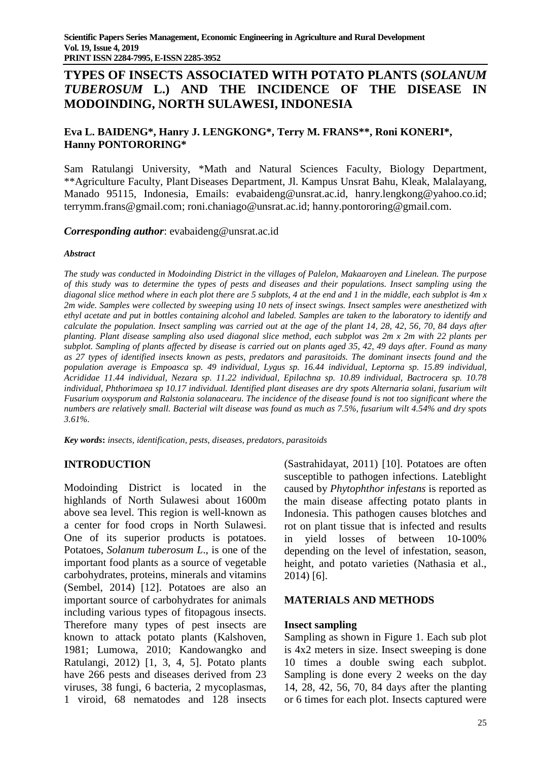# **TYPES OF INSECTS ASSOCIATED WITH POTATO PLANTS (***SOLANUM TUBEROSUM* **L.) AND THE INCIDENCE OF THE DISEASE IN MODOINDING, NORTH SULAWESI, INDONESIA**

## **Eva L. BAIDENG\*, Hanry J. LENGKONG\*, Terry M. FRANS\*\*, Roni KONERI\*, Hanny PONTORORING\***

Sam Ratulangi University, \*Math and Natural Sciences Faculty, Biology Department, \*\*Agriculture Faculty, Plant Diseases Department, Jl. Kampus Unsrat Bahu, Kleak, Malalayang, Manado 95115, Indonesia, Emails: [evabaideng@unsrat.ac.id,](mailto:evabaideng@unsrat.ac.id) [hanry.lengkong@yahoo.co.id;](mailto:hanry.lengkong@yahoo.co.id) [terrymm.frans@gmail.com;](mailto:terrymm.frans@gmail.com) [roni.chaniago@unsrat.ac.id;](mailto:roni.chaniago@unsrat.ac.id) hanny.pontororing@gmail.com.

*Corresponding author*: [evabaideng@unsrat.ac.id](mailto:evabaideng@unsrat.ac.id)

#### *Abstract*

The study was conducted in Modoinding District in the villages of Palelon, Makaaroyen and Linelean. The purpose of this study was to determine the types of pests and diseases and their populations. Insect sampling using the diagonal slice method where in each plot there are 5 subplots, 4 at the end and 1 in the middle, each subplot is  $4m x$ 2m wide. Samples were collected by sweeping using 10 nets of insect swings. Insect samples were anesthetized with ethyl acetate and put in bottles containing alcohol and labeled. Samples are taken to the laboratory to identify and calculate the population. Insect sampling was carried out at the age of the plant 14, 28, 42, 56, 70, 84 days after planting. Plant disease sampling also used diagonal slice method, each subplot was 2m x 2m with 22 plants per subplot. Sampling of plants affected by disease is carried out on plants aged 35, 42, 49 days after. Found as many as 27 types of identified insects known as pests, predators and parasitoids. The dominant insects found and the *population average is Empoasca sp. 49 individual, Lygus sp. 16.44 individual, Leptorna sp. 15.89 individual, Acrididae 11.44 individual, Nezara sp. 11.22 individual, Epilachna sp. 10.89 individual, Bactrocera sp. 10.78 individual, Phthorimaea sp 10.17 individual. Identified plant diseases are dry spots Alternaria solani, fusarium wilt* Fusarium oxysporum and Ralstonia solanacearu. The incidence of the disease found is not too significant where the numbers are relatively small. Bacterial wilt disease was found as much as 7.5%, fusarium wilt 4.54% and dry spots *3.61%.*

*Key words***:** *insects, identification, pests, diseases, predators, parasitoids*

## **INTRODUCTION**

Modoinding District is located in the highlands of North Sulawesi about 1600m above sea level. This region is well-known as a center for food crops in North Sulawesi. One of its superior products is potatoes. Potatoes, *Solanum tuberosum L*., is one of the important food plants as a source of vegetable carbohydrates, proteins, minerals and vitamins (Sembel, 2014) [12]. Potatoes are also an important source of carbohydrates for animals including various types of fitopagous insects. Therefore many types of pest insects are known to attack potato plants (Kalshoven, 1981; Lumowa, 2010; Kandowangko and Ratulangi, 2012) [1, 3, 4, 5]. Potato plants have 266 pests and diseases derived from 23 viruses, 38 fungi, 6 bacteria, 2 mycoplasmas, 1 viroid, 68 nematodes and 128 insects

(Sastrahidayat, 2011) [10]. Potatoes are often susceptible to pathogen infections. Lateblight caused by *Phytophthor infestans* is reported as the main disease affecting potato plants in Indonesia. This pathogen causes blotches and rot on plant tissue that is infected and results in yield losses of between 10-100% depending on the level of infestation, season, height, and potato varieties (Nathasia et al., 2014) [6].

#### **MATERIALS AND METHODS**

#### **Insect sampling**

Sampling as shown in Figure 1. Each sub plot is 4x2 meters in size. Insect sweeping is done 10 times a double swing each subplot. Sampling is done every 2 weeks on the day 14, 28, 42, 56, 70, 84 days after the planting or 6 times for each plot. Insects captured were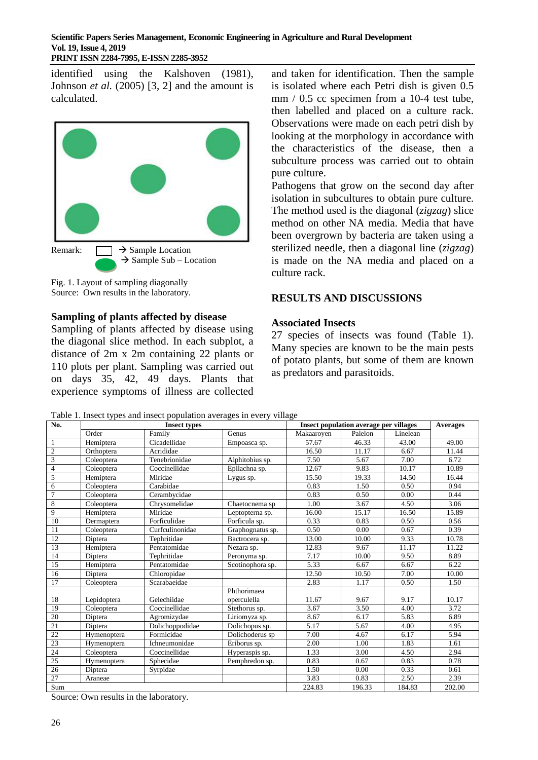identified using the Kalshoven (1981), Johnson *et al.* (2005) [3, 2] and the amount is calculated.



 $\rightarrow$  Sample Sub – Location

Fig. 1. Layout of sampling diagonally Source: Own results in the laboratory.

### **Sampling of plants affected by disease**

Sampling of plants affected by disease using the diagonal slice method. In each subplot, a distance of 2m x 2m containing 22 plants or 110 plots per plant. Sampling was carried out on days 35, 42, 49 days. Plants that experience symptoms of illness are collected

and taken for identification. Then the sample is isolated where each Petri dish is given 0.5 mm / 0.5 cc specimen from a 10-4 test tube, then labelled and placed on a culture rack. Observations were made on each petri dish by looking at the morphology in accordance with the characteristics of the disease, then a subculture process was carried out to obtain pure culture.

Pathogens that grow on the second day after isolation in subcultures to obtain pure culture. The method used is the diagonal (*zigzag*) slice method on other NA media. Media that have been overgrown by bacteria are taken using a sterilized needle, then a diagonal line (*zigzag*) is made on the NA media and placed on a culture rack.

### **RESULTS AND DISCUSSIONS**

#### **Associated Insects**

27 species of insects was found (Table 1). Many species are known to be the main pests of potato plants, but some of them are known as predators and parasitoids.

Table 1. Insect types and insect population averages in every village

| No.             |             | <b>Insect types</b> |                            | <b>Insect population average per villages</b> | <b>Averages</b> |          |        |
|-----------------|-------------|---------------------|----------------------------|-----------------------------------------------|-----------------|----------|--------|
|                 | Order       | Family              | Genus                      | Makaaroven                                    | Palelon         | Linelean |        |
| $\mathbf{1}$    | Hemiptera   | Cicadellidae        | Empoasca sp.               | 57.67                                         | 46.33           | 43.00    | 49.00  |
| $\overline{2}$  | Orthoptera  | Acrididae           |                            | 16.50                                         | 11.17           | 6.67     | 11.44  |
| 3               | Coleoptera  | Tenebrionidae       | Alphitobius sp.            | 7.50                                          | 5.67            | 7.00     | 6.72   |
| $\overline{4}$  | Coleoptera  | Coccinellidae       | Epilachna sp.              | 12.67                                         | 9.83            | 10.17    | 10.89  |
| 5               | Hemiptera   | Miridae             | Lygus sp.                  | 15.50                                         | 19.33           | 14.50    | 16.44  |
| 6               | Coleoptera  | Carabidae           |                            | 0.83                                          | 1.50            | 0.50     | 0.94   |
| $\tau$          | Coleoptera  | Cerambycidae        |                            | 0.83                                          | 0.50            | 0.00     | 0.44   |
| $\,$ 8 $\,$     | Coleoptera  | Chrysomelidae       | Chaetocnema sp             | 1.00                                          | 3.67            | 4.50     | 3.06   |
| 9               | Hemiptera   | Miridae             | Leptopterna sp.            | 16.00                                         | 15.17           | 16.50    | 15.89  |
| 10              | Dermaptera  | Forficulidae        | Forficula sp.              | 0.33                                          | 0.83            | 0.50     | 0.56   |
| 11              | Coleoptera  | Curfculinonidae     | Graphognatus sp.           | 0.50                                          | 0.00            | 0.67     | 0.39   |
| 12              | Diptera     | Tephritidae         | Bactrocera sp.             | 13.00                                         | 10.00           | 9.33     | 10.78  |
| 13              | Hemiptera   | Pentatomidae        | Nezara sp.                 | 12.83                                         | 9.67            | 11.17    | 11.22  |
| 14              | Diptera     | Tephritidae         | Peronyma sp.               | 7.17                                          | 10.00           | 9.50     | 8.89   |
| 15              | Hemiptera   | Pentatomidae        | Scotinophora sp.           | 5.33                                          | 6.67            | 6.67     | 6.22   |
| 16              | Diptera     | Chloropidae         |                            | 12.50                                         | 10.50           | 7.00     | 10.00  |
| 17              | Coleoptera  | Scarabaeidae        |                            | 2.83                                          | 1.17            | 0.50     | 1.50   |
| 18              | Lepidoptera | Gelechiidae         | Phthorimaea<br>operculella | 11.67                                         | 9.67            | 9.17     | 10.17  |
| 19              | Coleoptera  | Coccinellidae       | Stethorus sp.              | 3.67                                          | 3.50            | 4.00     | 3.72   |
| 20              | Diptera     | Agromizydae         | Liriomyza sp.              | 8.67                                          | 6.17            | 5.83     | 6.89   |
| 21              | Diptera     | Dolichoppodidae     | Dolichopus sp.             | 5.17                                          | 5.67            | 4.00     | 4.95   |
| $22\,$          | Hymenoptera | Formicidae          | Dolichoderus sp            | 7.00                                          | 4.67            | 6.17     | 5.94   |
| $\overline{23}$ | Hymenoptera | Ichneumonidae       | Eriborus sp.               | 2.00                                          | 1.00            | 1.83     | 1.61   |
| 24              | Coleoptera  | Coccinellidae       | Hyperaspis sp.             | 1.33                                          | 3.00            | 4.50     | 2.94   |
| 25              | Hymenoptera | Sphecidae           | Pemphredon sp.             | 0.83                                          | 0.67            | 0.83     | 0.78   |
| 26              | Diptera     | Syrpidae            |                            | 1.50                                          | 0.00            | 0.33     | 0.61   |
| 27              | Araneae     |                     |                            | 3.83                                          | 0.83            | 2.50     | 2.39   |
| Sum             |             |                     |                            | 224.83                                        | 196.33          | 184.83   | 202.00 |

Source: Own results in the laboratory.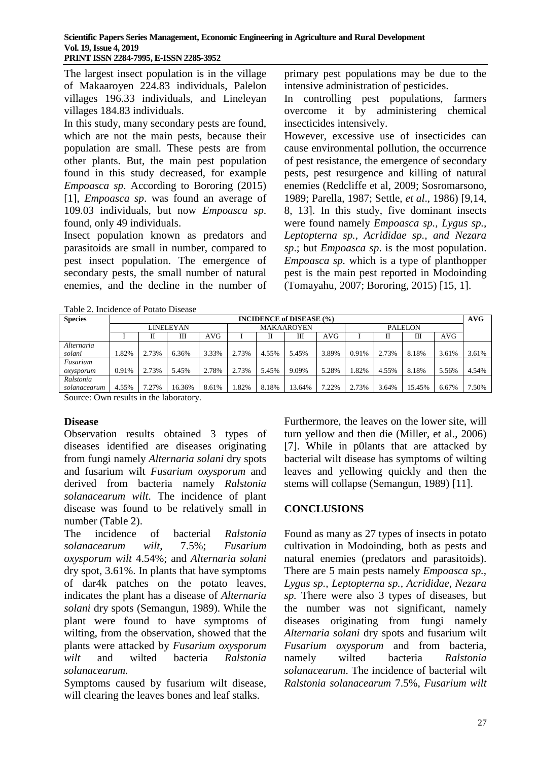The largest insect population is in the village of Makaaroyen 224.83 individuals, Palelon villages 196.33 individuals, and Lineleyan villages 184.83 individuals.

In this study, many secondary pests are found, which are not the main pests, because their population are small. These pests are from other plants. But, the main pest population found in this study decreased, for example *Empoasca sp*. According to Bororing (2015) [1], *Empoasca sp*. was found an average of 109.03 individuals, but now *Empoasca sp*. found, only 49 individuals.

Insect population known as predators and parasitoids are small in number, compared to pest insect population. The emergence of secondary pests, the small number of natural enemies, and the decline in the number of primary pest populations may be due to the intensive administration of pesticides.

In controlling pest populations, farmers overcome it by administering chemical insecticides intensively.

However, excessive use of insecticides can cause environmental pollution, the occurrence of pest resistance, the emergence of secondary pests, pest resurgence and killing of natural enemies (Redcliffe et al, 2009; Sosromarsono, 1989; Parella, 1987; Settle, *et al*., 1986) [9,14, 8, 13]. In this study, five dominant insects were found namely *Empoasca sp., Lygus sp., Leptopterna sp., Acrididae sp., and Nezara sp*.; but *Empoasca sp*. is the most population. *Empoasca sp.* which is a type of planthopper pest is the main pest reported in Modoinding (Tomayahu, 2007; Bororing, 2015) [15, 1].

| I aoic 2. Incheditec of I otato Disease |                                 |       |        |       |                   |       |        |                |       |       |        |       |       |
|-----------------------------------------|---------------------------------|-------|--------|-------|-------------------|-------|--------|----------------|-------|-------|--------|-------|-------|
| <b>Species</b>                          | <b>INCIDENCE of DISEASE (%)</b> |       |        |       |                   |       |        |                |       |       |        | AVG   |       |
|                                         | <b>LINELEYAN</b>                |       |        |       | <b>MAKAAROYEN</b> |       |        | <b>PALELON</b> |       |       |        |       |       |
|                                         |                                 |       | Ш      | AVG   |                   | П     | Ш      | AVG            |       |       | Ш      | AVG   |       |
| Alternaria                              |                                 |       |        |       |                   |       |        |                |       |       |        |       |       |
| solani                                  | 1.82%                           | 2.73% | 6.36%  | 3.33% | 2.73%             | 4.55% | 5.45%  | 3.89%          | 0.91% | 2.73% | 8.18%  | 3.61% | 3.61% |
| Fusarium                                |                                 |       |        |       |                   |       |        |                |       |       |        |       |       |
| oxysporum                               | 0.91%                           | 2.73% | 5.45%  | 2.78% | 2.73%             | 5.45% | 9.09%  | 5.28%          | .82%  | 4.55% | 8.18%  | 5.56% | 4.54% |
| Ralstonia                               |                                 |       |        |       |                   |       |        |                |       |       |        |       |       |
| solanacearum                            | 4.55%                           | 7.27% | 16.36% | 8.61% | .82%              | 8.18% | 13.64% | 7.22%          | 2.73% | 3.64% | 15.45% | 6.67% | 7.50% |
|                                         |                                 |       |        |       |                   |       |        |                |       |       |        |       |       |

Table 2. Incidence of Potato Disease

Source: Own results in the laboratory.

### **Disease**

Observation results obtained 3 types of diseases identified are diseases originating from fungi namely *Alternaria solani* dry spots and fusarium wilt *Fusarium oxysporum* and derived from bacteria namely *Ralstonia solanacearum wilt*. The incidence of plant disease was found to be relatively small in number (Table 2).

The incidence of bacterial *Ralstonia solanacearum wilt*, 7.5%; *Fusarium oxysporum wilt* 4.54%; and *Alternaria solani* dry spot, 3.61%. In plants that have symptoms of dar4k patches on the potato leaves, indicates the plant has a disease of *Alternaria solani* dry spots (Semangun, 1989). While the plant were found to have symptoms of wilting, from the observation, showed that the plants were attacked by *Fusarium oxysporum wilt* and wilted bacteria *Ralstonia solanacearum.* 

Symptoms caused by fusarium wilt disease, will clearing the leaves bones and leaf stalks.

Furthermore, the leaves on the lower site, will turn yellow and then die (Miller, et al., 2006) [7]. While in p0lants that are attacked by bacterial wilt disease has symptoms of wilting leaves and yellowing quickly and then the stems will collapse (Semangun, 1989) [11].

### **CONCLUSIONS**

Found as many as 27 types of insects in potato cultivation in Modoinding, both as pests and natural enemies (predators and parasitoids). There are 5 main pests namely *Empoasca sp., Lygus sp., Leptopterna sp., Acrididae, Nezara sp.* There were also 3 types of diseases, but the number was not significant, namely diseases originating from fungi namely *Alternaria solani* dry spots and fusarium wilt *Fusarium oxysporum* and from bacteria, namely wilted bacteria *Ralstonia solanacearum*. The incidence of bacterial wilt *Ralstonia solanacearum* 7.5%, *Fusarium wilt*